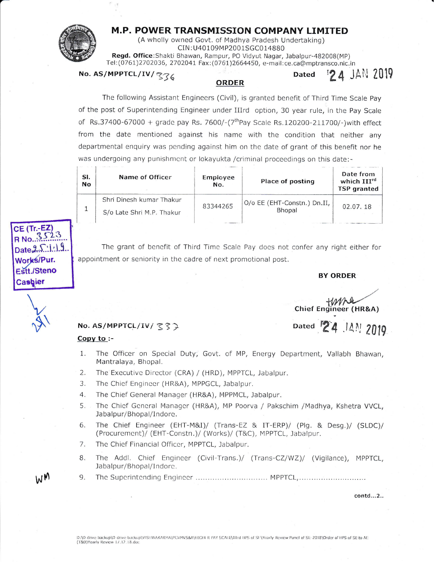## M.P. POWER TRANSMISSION COMPANY LIMITED



(A wholly owned Govt. of Madhya Pradesh Undertaking) CIN:U40109MP2001SGC014880 Regd. Office: Shakti Bhawan, Rampur, PO Vidyut Nagar, Jabalpur-482008(MP) Tel: (0761)2702036, 2702041 Fax: (0761)2664450, e-mail: ce. ca@mptransco.nic.in

No. AS/MPPTCL/IV/336

## **ORDER**

The following Assistant Engineers (Civil), is granted benefit of Third Time Scale Pay of the post of Superintending Engineer under IIIrd option, 30 year rule, in the Pay Scale of Rs.37400-67000 + grade pay Rs. 7600/-( $7<sup>th</sup>$ Pay Scale Rs.120200-211700/-) with effect from the date mentioned against his name with the condition that neither any departmental enguiry was pending against him on the date of grant of this benefit nor he was undergoing any punishment or lokayukta /criminal proceedings on this date:-

| SI.<br><b>No</b> | Name of Officer                                       | Employee<br>No. | Place of posting                      | Date from<br>which III <sup>rd</sup><br><b>TSP</b> granted |
|------------------|-------------------------------------------------------|-----------------|---------------------------------------|------------------------------------------------------------|
|                  | Shri Dinesh kumar Thakur<br>S/o Late Shri M.P. Thakur | 83344265        | O/o EE (EHT-Constn.) Dn.II,<br>Bhopal | 02.07.18                                                   |
|                  |                                                       |                 |                                       |                                                            |

CE (Tr.-EZ)  $No.$  $1.19$ Works/Pur. **Estt./Steno** Cashier



The grant of benefit of Third Time Scale Pay does not confer any right either for appointment or seniority in the cadre of next promotional post.

## **BY ORDER**

**24 JAN 2019** 

**Dated** 

tums Chief Engineer (HR&A)

No. AS/MPPTCL/IV/ てくつ

## Copy to :-

Dated 24 14 2019

- The Officer on Special Duty; Govt. of MP, Energy Department, Vallabh Bhawan,  $1.$ Mantralaya, Bhopal.
- $2.$ The Executive Director (CRA) / (HRD), MPPTCL, Jabalpur.
- 3. The Chief Engineer (HR&A), MPPGCL, Jabalpur.
- $4.$ The Chief General Manager (HR&A), MPPMCL, Jabalpur.
- 5. The Chief General Manager (HR&A), MP Poorva / Pakschim /Madhya, Kshetra VVCL, Jabalpur/Bhopal/Indore.
- The Chief Engineer (EHT-M&I)/ (Trans-EZ & IT-ERP)/ (Plg. & Desg.)/ (SLDC)/ 6. (Procurement)/ (EHT-Constn.)/ (Works)/ (T&C), MPPTCL, Jabalpur.
- 7. The Chief Financial Officer, MPPTCL, Jabalpur.
- 8. The Addl. Chief Engineer (Civil-Trans.)/ (Trans-CZ/WZ)/ (Vigilance), MPPTCL, Jabalpur/Bhopal/Indore.
- The Superintending Engineer ............................... MPPTCL, ................................ 9.

contd...2..

WM